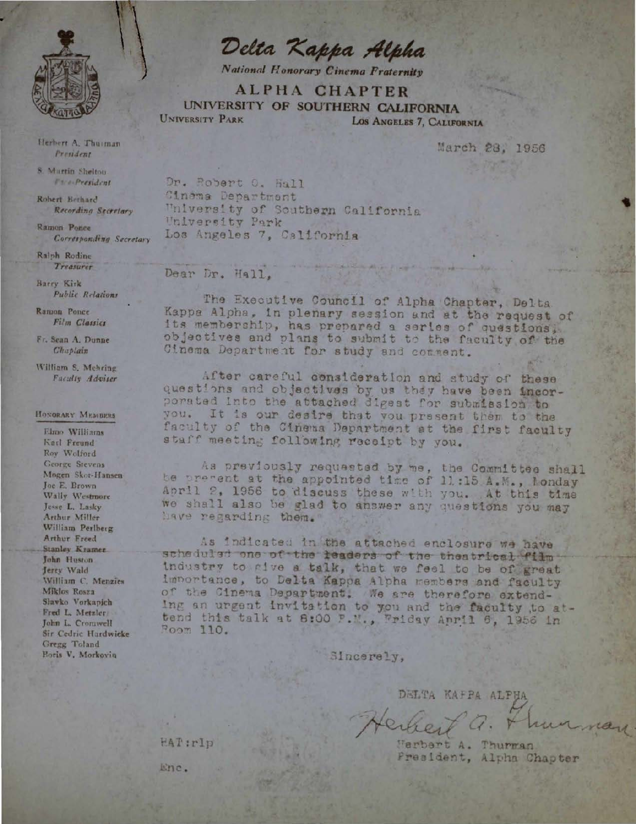

Herbert A. Thurman President

S. Martin Shelton Face-President

Robert Berhard Recording Secretary

Ramon Ponce Corresponding Secretary

Ralph Rodine Treasurer

Barry Kirk **Public Relations** 

Ramon Ponce Film Classics

Fr. Sean A. Dunne Chaplain

William S. Mehring Faculty Adviser

## HONGRARY MEMBERS

Elmo Williams Karl Freund Roy Wolford George Stevens Mogen Skot-Hansen Joe E. Brown Wally Westmore Jesse L. Lasky Arthur Miller William Perlberg Arthur Freed Stanley Kramer John Huston Jerry Wald William C. Menzies Miklos Rosza Slavko Vorkapich Fred L. Metzler John L. Cromwell Sir Cedric Hardwicke Gregg Toland Boris V. Morkovin

Delta Kappa Alpha

**National Honorary Cinema Fraternity** 

**ALPHA CHAPTER** UNIVERSITY OF SOUTHERN CALIFORNIA UNIVERSITY PARK LOS ANGELES 7, CALIFORNIA

March 28, 1956

Dr. Robert O. Hall Cinema Department University of Southern California University Park Los Angeles 7, California

## Dear Dr. Hall.

The Executive Council of Alpha Chapter, Delta Kappa Alpha, in plenary session and at the request of its membership, has prepared a series of questions, objectives and plans to submit to the faculty of the Cinema Department for study and comment.

After careful consideration and study of these questions and objectives by us they have been incor-porated into the attached digest for submission to you. It is our desire that you present them to the faculty of the Cinema Department at the first faculty staff meeting following receipt by you.

As previously requested by me, the Committee shall be pregent at the appointed time of 11:15 A.M., londay April 2, 1956 to discuss these with you. At this time we shall also be glad to answer any questions you may have regarding them.

As indicated in the attached enclosure we have scheduled one of the leaders of the theatrical film industry to give a talk, that we feel to be of great importance, to Delta Kappa Alpha members and faculty of the Cinema Department. We are therefore extending an urgent invitation to you and the faculty to attend this talk at 8:00 P.M., Friday April 6, 1956 in Poom 110.

Sincerely,

DELTA KAFPA ALPHA

Werbert A. Thurwan President, Alpha Chapter

rand

HAT:rlp

Enc.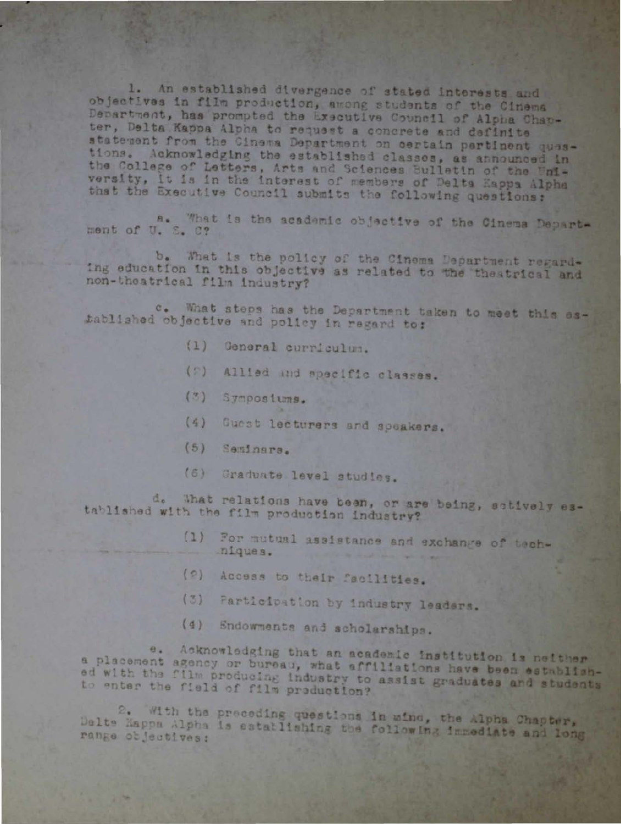1. An established divergence of stated interests and objectives in film production, among students of the Cinema Department, has prompted the Executive Council of Alpha Chap-ter, Delta Kappa Alpha to request a concrete and definite statement from the Cinema Department on certain pertinent quastions. Acknowledging the established classes, as announced in the College of Letters, Arts and Sciences Bulletin of the Whiversity, it is in the interest of members of Delta Eappa Alpha that the Executive Council submits the following questions:

ment of U. S. C? Is the academic objective of the Cinema Depart-

b. What is the policy of the Cinema Department regarding education in this objective as related to the theatrical and non-theatrical film industry?

c. What steps has the Department taken to meet this established objective and policy in regard to:

- $(1)$ General curriculum.
- Allied and specific classes.  $(5)$
- $(3)$ Symposiums.
- Guest lecturers and speakers.  $(4)$
- $(5)$ Seminars.
- $(6)$ Graduate level studies.

d. That relations have been, or are being, sotively established with the film production industry?

- For mutual assistance and exchange of tech- $(1)$ niques.
- (2) Access to their facilities.
- Participation by industry leaders.  $(3)$
- (4) Endowments and scholarships.

e. Acknowledging that an academic institution is neither a placement agency or bureau, what affiliations have been established with the film producing industry to assist graduates and students to enter the field of film production?

2. With the preceding questions in wind, the Alpha Chapter, Dalte Kappa Alpha is establishing the following immediate and long range objectives: